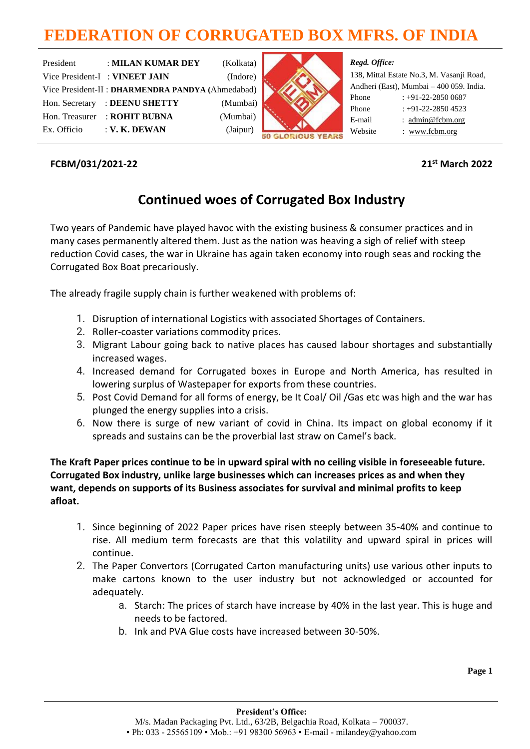# **FEDERATION OF CORRUGATED BOX MFRS. OF INDIA**

| President      | : MILAN KUMAR DEY                                 | (Kolkata) |
|----------------|---------------------------------------------------|-----------|
|                | Vice President-I: VINEET JAIN                     | (Indore)  |
|                | Vice President-II : DHARMENDRA PANDYA (Ahmedabad) |           |
| Hon. Secretary | : DEENU SHETTY                                    | (Mumbai)  |
| Hon. Treasurer | : ROHIT BUBNA                                     | (Mumbai)  |
| Ex. Officio    | $:$ V. K. DEWAN                                   | (Jaipur)  |



## *Regd. Office:*

|         | 138, Mittal Estate No.3, M. Vasanji Road, |
|---------|-------------------------------------------|
|         | Andheri (East), Mumbai – 400 059. India.  |
| Phone   | $: +91-22-28500687$                       |
| Phone   | $: +91-22-2850$ 4523                      |
| E-mail  | : $\text{admin@fcbm.org}$                 |
| Website | : www.fcbm.org                            |
|         |                                           |

## **FCBM/031/2021-22 21st March 2022**

## **Continued woes of Corrugated Box Industry**

Two years of Pandemic have played havoc with the existing business & consumer practices and in many cases permanently altered them. Just as the nation was heaving a sigh of relief with steep reduction Covid cases, the war in Ukraine has again taken economy into rough seas and rocking the Corrugated Box Boat precariously.

The already fragile supply chain is further weakened with problems of:

- 1. Disruption of international Logistics with associated Shortages of Containers.
- 2. Roller-coaster variations commodity prices.
- 3. Migrant Labour going back to native places has caused labour shortages and substantially increased wages.
- 4. Increased demand for Corrugated boxes in Europe and North America, has resulted in lowering surplus of Wastepaper for exports from these countries.
- 5. Post Covid Demand for all forms of energy, be It Coal/ Oil /Gas etc was high and the war has plunged the energy supplies into a crisis.
- 6. Now there is surge of new variant of covid in China. Its impact on global economy if it spreads and sustains can be the proverbial last straw on Camel's back.

**The Kraft Paper prices continue to be in upward spiral with no ceiling visible in foreseeable future. Corrugated Box industry, unlike large businesses which can increases prices as and when they want, depends on supports of its Business associates for survival and minimal profits to keep afloat.**

- 1. Since beginning of 2022 Paper prices have risen steeply between 35-40% and continue to rise. All medium term forecasts are that this volatility and upward spiral in prices will continue.
- 2. The Paper Convertors (Corrugated Carton manufacturing units) use various other inputs to make cartons known to the user industry but not acknowledged or accounted for adequately.
	- a. Starch: The prices of starch have increase by 40% in the last year. This is huge and needs to be factored.
	- b. Ink and PVA Glue costs have increased between 30-50%.